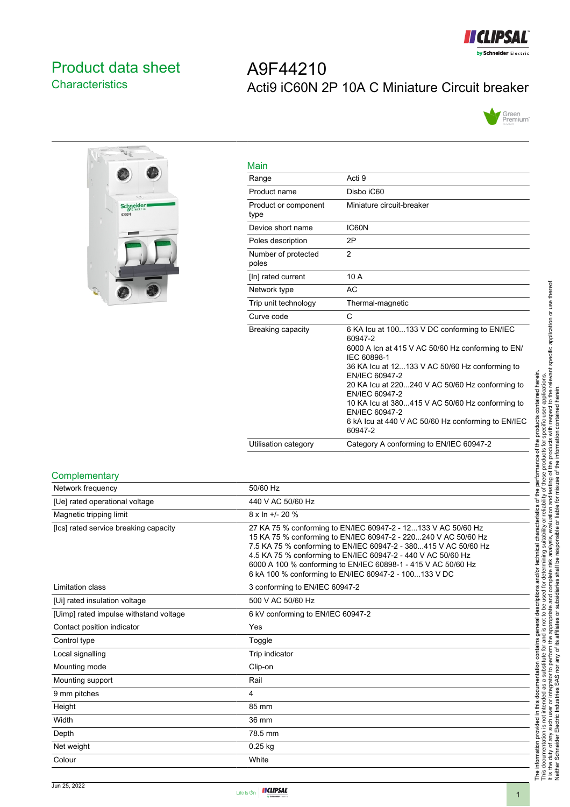

# <span id="page-0-0"></span>Product data sheet **Characteristics**

# A9F44210 Acti9 iC60N 2P 10A C Miniature Circuit breaker





| Main                         |                                                                                                                                                                                                                                                                                                                                                                                                            |
|------------------------------|------------------------------------------------------------------------------------------------------------------------------------------------------------------------------------------------------------------------------------------------------------------------------------------------------------------------------------------------------------------------------------------------------------|
| Range                        | Acti 9                                                                                                                                                                                                                                                                                                                                                                                                     |
| Product name                 | Disbo iC60                                                                                                                                                                                                                                                                                                                                                                                                 |
| Product or component<br>type | Miniature circuit-breaker                                                                                                                                                                                                                                                                                                                                                                                  |
| Device short name            | IC60N                                                                                                                                                                                                                                                                                                                                                                                                      |
| Poles description            | 2P                                                                                                                                                                                                                                                                                                                                                                                                         |
| Number of protected<br>poles | $\overline{2}$                                                                                                                                                                                                                                                                                                                                                                                             |
| [In] rated current           | 10 A                                                                                                                                                                                                                                                                                                                                                                                                       |
| Network type                 | AC                                                                                                                                                                                                                                                                                                                                                                                                         |
| Trip unit technology         | Thermal-magnetic                                                                                                                                                                                                                                                                                                                                                                                           |
| Curve code                   | C                                                                                                                                                                                                                                                                                                                                                                                                          |
| Breaking capacity            | 6 KA Icu at 100133 V DC conforming to EN/IEC<br>60947-2<br>6000 A Icn at 415 V AC 50/60 Hz conforming to EN/<br>IEC 60898-1<br>36 KA Icu at 12133 V AC 50/60 Hz conforming to<br>EN/IEC 60947-2<br>20 KA Icu at 220240 V AC 50/60 Hz conforming to<br>EN/IEC 60947-2<br>10 KA Icu at 380415 V AC 50/60 Hz conforming to<br>EN/IEC 60947-2<br>6 kA lcu at 440 V AC 50/60 Hz conforming to EN/IEC<br>60947-2 |
| Utilisation category         | Category A conforming to EN/IEC 60947-2                                                                                                                                                                                                                                                                                                                                                                    |

#### **Complementary**

| Network frequency                      | 50/60 Hz                                                                                                                                                                                                                                                                                                                                                                                     |
|----------------------------------------|----------------------------------------------------------------------------------------------------------------------------------------------------------------------------------------------------------------------------------------------------------------------------------------------------------------------------------------------------------------------------------------------|
| [Ue] rated operational voltage         | 440 V AC 50/60 Hz                                                                                                                                                                                                                                                                                                                                                                            |
| Magnetic tripping limit                | 8 x ln +/- 20 %                                                                                                                                                                                                                                                                                                                                                                              |
| [Ics] rated service breaking capacity  | 27 KA 75 % conforming to EN/IEC 60947-2 - 12133 V AC 50/60 Hz<br>15 KA 75 % conforming to EN/IEC 60947-2 - 220240 V AC 50/60 Hz<br>7.5 KA 75 % conforming to EN/IEC 60947-2 - 380415 V AC 50/60 Hz<br>4.5 KA 75 % conforming to EN/IEC 60947-2 - 440 V AC 50/60 Hz<br>6000 A 100 % conforming to EN/IEC 60898-1 - 415 V AC 50/60 Hz<br>6 kA 100 % conforming to EN/IEC 60947-2 - 100133 V DC |
| Limitation class                       | 3 conforming to EN/IEC 60947-2                                                                                                                                                                                                                                                                                                                                                               |
| [Ui] rated insulation voltage          | 500 V AC 50/60 Hz                                                                                                                                                                                                                                                                                                                                                                            |
| [Uimp] rated impulse withstand voltage | 6 kV conforming to EN/IEC 60947-2                                                                                                                                                                                                                                                                                                                                                            |
| Contact position indicator             | Yes                                                                                                                                                                                                                                                                                                                                                                                          |
| Control type                           | Toggle                                                                                                                                                                                                                                                                                                                                                                                       |
| Local signalling                       | Trip indicator                                                                                                                                                                                                                                                                                                                                                                               |
| Mounting mode                          | Clip-on                                                                                                                                                                                                                                                                                                                                                                                      |
| Mounting support                       | Rail                                                                                                                                                                                                                                                                                                                                                                                         |
| 9 mm pitches                           | 4                                                                                                                                                                                                                                                                                                                                                                                            |
| Height                                 | 85 mm                                                                                                                                                                                                                                                                                                                                                                                        |
| Width                                  | 36 mm                                                                                                                                                                                                                                                                                                                                                                                        |
| Depth                                  | 78.5 mm                                                                                                                                                                                                                                                                                                                                                                                      |
| Net weight                             | $0.25$ kg                                                                                                                                                                                                                                                                                                                                                                                    |
| Colour                                 | White                                                                                                                                                                                                                                                                                                                                                                                        |